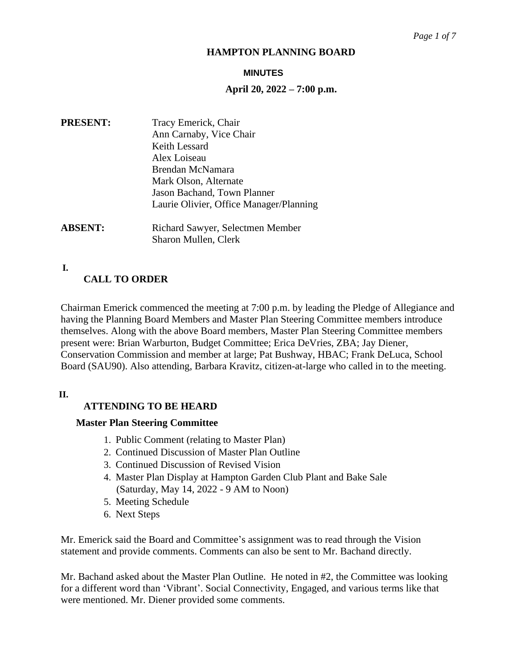#### **MINUTES**

### **April 20, 2022 – 7:00 p.m.**

| <b>PRESENT:</b> | Tracy Emerick, Chair                    |
|-----------------|-----------------------------------------|
|                 | Ann Carnaby, Vice Chair                 |
|                 | Keith Lessard                           |
|                 | Alex Loiseau                            |
|                 | Brendan McNamara                        |
|                 | Mark Olson, Alternate                   |
|                 | Jason Bachand, Town Planner             |
|                 | Laurie Olivier, Office Manager/Planning |
| <b>ABSENT:</b>  | Richard Sawyer, Selectmen Member        |
|                 | Sharon Mullen, Clerk                    |

**I. C**

# **CALL TO ORDER**

Chairman Emerick commenced the meeting at 7:00 p.m. by leading the Pledge of Allegiance and having the Planning Board Members and Master Plan Steering Committee members introduce themselves. Along with the above Board members, Master Plan Steering Committee members present were: Brian Warburton, Budget Committee; Erica DeVries, ZBA; Jay Diener, Conservation Commission and member at large; Pat Bushway, HBAC; Frank DeLuca, School Board (SAU90). Also attending, Barbara Kravitz, citizen-at-large who called in to the meeting.

**II. A**

# **ATTENDING TO BE HEARD**

#### **Master Plan Steering Committee**

- 1. Public Comment (relating to Master Plan)
- 2. Continued Discussion of Master Plan Outline
- 3. Continued Discussion of Revised Vision
- 4. Master Plan Display at Hampton Garden Club Plant and Bake Sale (Saturday, May 14, 2022 - 9 AM to Noon)
- 5. Meeting Schedule
- 6. Next Steps

Mr. Emerick said the Board and Committee's assignment was to read through the Vision statement and provide comments. Comments can also be sent to Mr. Bachand directly.

Mr. Bachand asked about the Master Plan Outline. He noted in #2, the Committee was looking for a different word than 'Vibrant'. Social Connectivity, Engaged, and various terms like that were mentioned. Mr. Diener provided some comments.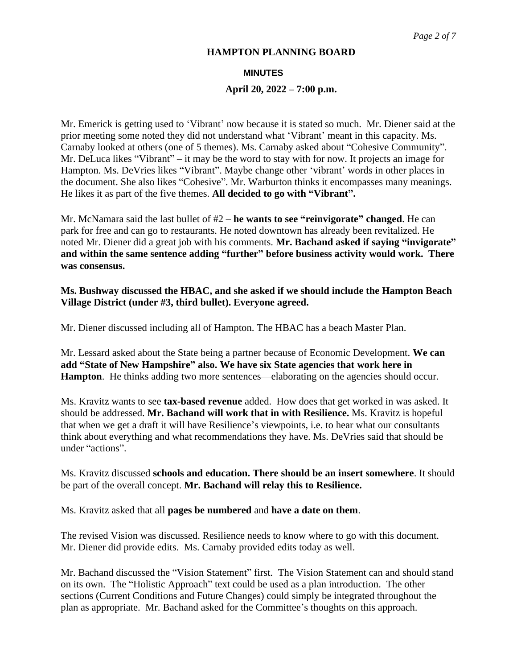### **MINUTES**

# **April 20, 2022 – 7:00 p.m.**

Mr. Emerick is getting used to 'Vibrant' now because it is stated so much. Mr. Diener said at the prior meeting some noted they did not understand what 'Vibrant' meant in this capacity. Ms. Carnaby looked at others (one of 5 themes). Ms. Carnaby asked about "Cohesive Community". Mr. DeLuca likes "Vibrant" – it may be the word to stay with for now. It projects an image for Hampton. Ms. DeVries likes "Vibrant". Maybe change other 'vibrant' words in other places in the document. She also likes "Cohesive". Mr. Warburton thinks it encompasses many meanings. He likes it as part of the five themes. **All decided to go with "Vibrant".**

Mr. McNamara said the last bullet of #2 – **he wants to see "reinvigorate" changed**. He can park for free and can go to restaurants. He noted downtown has already been revitalized. He noted Mr. Diener did a great job with his comments. **Mr. Bachand asked if saying "invigorate" and within the same sentence adding "further" before business activity would work. There was consensus.**

# **Ms. Bushway discussed the HBAC, and she asked if we should include the Hampton Beach Village District (under #3, third bullet). Everyone agreed.**

Mr. Diener discussed including all of Hampton. The HBAC has a beach Master Plan.

Mr. Lessard asked about the State being a partner because of Economic Development. **We can add "State of New Hampshire" also. We have six State agencies that work here in Hampton**. He thinks adding two more sentences—elaborating on the agencies should occur.

Ms. Kravitz wants to see **tax-based revenue** added. How does that get worked in was asked. It should be addressed. **Mr. Bachand will work that in with Resilience.** Ms. Kravitz is hopeful that when we get a draft it will have Resilience's viewpoints, i.e. to hear what our consultants think about everything and what recommendations they have. Ms. DeVries said that should be under "actions".

Ms. Kravitz discussed **schools and education. There should be an insert somewhere**. It should be part of the overall concept. **Mr. Bachand will relay this to Resilience.**

Ms. Kravitz asked that all **pages be numbered** and **have a date on them**.

The revised Vision was discussed. Resilience needs to know where to go with this document. Mr. Diener did provide edits. Ms. Carnaby provided edits today as well.

Mr. Bachand discussed the "Vision Statement" first. The Vision Statement can and should stand on its own. The "Holistic Approach" text could be used as a plan introduction. The other sections (Current Conditions and Future Changes) could simply be integrated throughout the plan as appropriate. Mr. Bachand asked for the Committee's thoughts on this approach.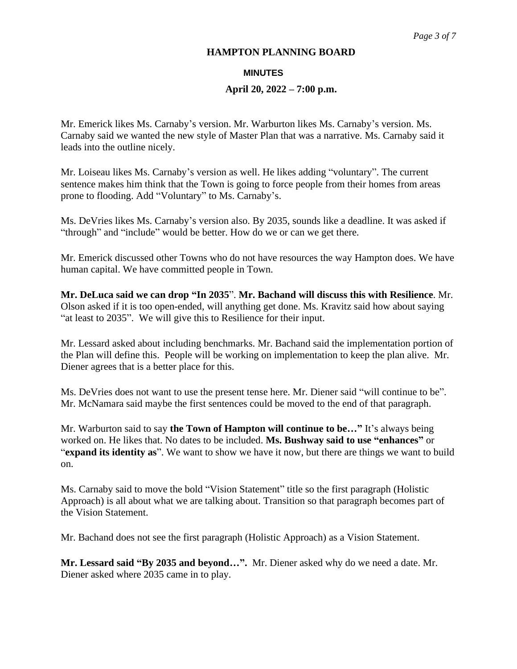#### **MINUTES**

# **April 20, 2022 – 7:00 p.m.**

Mr. Emerick likes Ms. Carnaby's version. Mr. Warburton likes Ms. Carnaby's version. Ms. Carnaby said we wanted the new style of Master Plan that was a narrative. Ms. Carnaby said it leads into the outline nicely.

Mr. Loiseau likes Ms. Carnaby's version as well. He likes adding "voluntary". The current sentence makes him think that the Town is going to force people from their homes from areas prone to flooding. Add "Voluntary" to Ms. Carnaby's.

Ms. DeVries likes Ms. Carnaby's version also. By 2035, sounds like a deadline. It was asked if "through" and "include" would be better. How do we or can we get there.

Mr. Emerick discussed other Towns who do not have resources the way Hampton does. We have human capital. We have committed people in Town.

**Mr. DeLuca said we can drop "In 2035**". **Mr. Bachand will discuss this with Resilience**. Mr. Olson asked if it is too open-ended, will anything get done. Ms. Kravitz said how about saying "at least to 2035". We will give this to Resilience for their input.

Mr. Lessard asked about including benchmarks. Mr. Bachand said the implementation portion of the Plan will define this. People will be working on implementation to keep the plan alive. Mr. Diener agrees that is a better place for this.

Ms. DeVries does not want to use the present tense here. Mr. Diener said "will continue to be". Mr. McNamara said maybe the first sentences could be moved to the end of that paragraph.

Mr. Warburton said to say **the Town of Hampton will continue to be…"** It's always being worked on. He likes that. No dates to be included. **Ms. Bushway said to use "enhances"** or "**expand its identity as**". We want to show we have it now, but there are things we want to build on.

Ms. Carnaby said to move the bold "Vision Statement" title so the first paragraph (Holistic Approach) is all about what we are talking about. Transition so that paragraph becomes part of the Vision Statement.

Mr. Bachand does not see the first paragraph (Holistic Approach) as a Vision Statement.

**Mr. Lessard said "By 2035 and beyond…".** Mr. Diener asked why do we need a date. Mr. Diener asked where 2035 came in to play.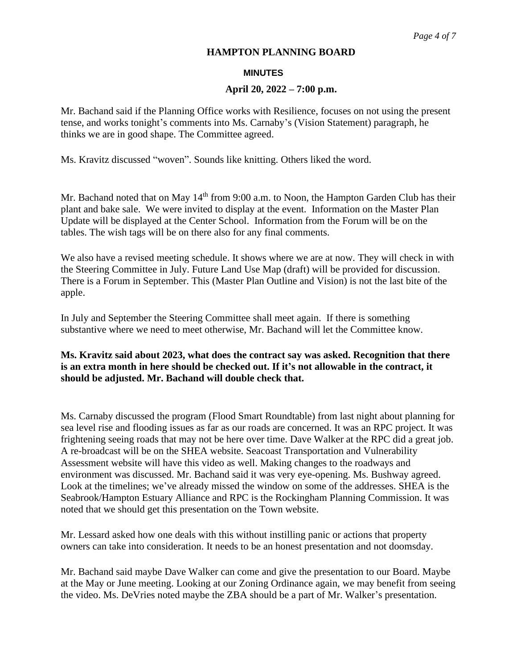#### **MINUTES**

### **April 20, 2022 – 7:00 p.m.**

Mr. Bachand said if the Planning Office works with Resilience, focuses on not using the present tense, and works tonight's comments into Ms. Carnaby's (Vision Statement) paragraph, he thinks we are in good shape. The Committee agreed.

Ms. Kravitz discussed "woven". Sounds like knitting. Others liked the word.

Mr. Bachand noted that on May  $14<sup>th</sup>$  from 9:00 a.m. to Noon, the Hampton Garden Club has their plant and bake sale. We were invited to display at the event. Information on the Master Plan Update will be displayed at the Center School. Information from the Forum will be on the tables. The wish tags will be on there also for any final comments.

We also have a revised meeting schedule. It shows where we are at now. They will check in with the Steering Committee in July. Future Land Use Map (draft) will be provided for discussion. There is a Forum in September. This (Master Plan Outline and Vision) is not the last bite of the apple.

In July and September the Steering Committee shall meet again. If there is something substantive where we need to meet otherwise, Mr. Bachand will let the Committee know.

# **Ms. Kravitz said about 2023, what does the contract say was asked. Recognition that there is an extra month in here should be checked out. If it's not allowable in the contract, it should be adjusted. Mr. Bachand will double check that.**

Ms. Carnaby discussed the program (Flood Smart Roundtable) from last night about planning for sea level rise and flooding issues as far as our roads are concerned. It was an RPC project. It was frightening seeing roads that may not be here over time. Dave Walker at the RPC did a great job. A re-broadcast will be on the SHEA website. Seacoast Transportation and Vulnerability Assessment website will have this video as well. Making changes to the roadways and environment was discussed. Mr. Bachand said it was very eye-opening. Ms. Bushway agreed. Look at the timelines; we've already missed the window on some of the addresses. SHEA is the Seabrook/Hampton Estuary Alliance and RPC is the Rockingham Planning Commission. It was noted that we should get this presentation on the Town website.

Mr. Lessard asked how one deals with this without instilling panic or actions that property owners can take into consideration. It needs to be an honest presentation and not doomsday.

Mr. Bachand said maybe Dave Walker can come and give the presentation to our Board. Maybe at the May or June meeting. Looking at our Zoning Ordinance again, we may benefit from seeing the video. Ms. DeVries noted maybe the ZBA should be a part of Mr. Walker's presentation.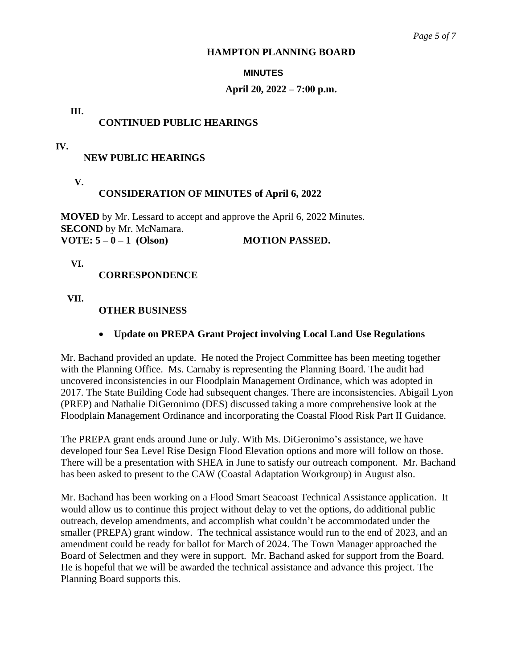#### **MINUTES**

# **April 20, 2022 – 7:00 p.m.**

# **III. C**

# **CONTINUED PUBLIC HEARINGS**

# **IV. N**

# **NEW PUBLIC HEARINGS**

**V. C**

# **CONSIDERATION OF MINUTES of April 6, 2022**

**MOVED** by Mr. Lessard to accept and approve the April 6, 2022 Minutes. **SECOND** by Mr. McNamara. **VOTE: 5 – 0 – 1 (Olson) MOTION PASSED.**

**VI. C**

# **CORRESPONDENCE**

**VII. O**

# **OTHER BUSINESS**

# • **Update on PREPA Grant Project involving Local Land Use Regulations**

Mr. Bachand provided an update. He noted the Project Committee has been meeting together with the Planning Office. Ms. Carnaby is representing the Planning Board. The audit had uncovered inconsistencies in our Floodplain Management Ordinance, which was adopted in 2017. The State Building Code had subsequent changes. There are inconsistencies. Abigail Lyon (PREP) and Nathalie DiGeronimo (DES) discussed taking a more comprehensive look at the Floodplain Management Ordinance and incorporating the Coastal Flood Risk Part II Guidance.

The PREPA grant ends around June or July. With Ms. DiGeronimo's assistance, we have developed four Sea Level Rise Design Flood Elevation options and more will follow on those. There will be a presentation with SHEA in June to satisfy our outreach component. Mr. Bachand has been asked to present to the CAW (Coastal Adaptation Workgroup) in August also.

Mr. Bachand has been working on a Flood Smart Seacoast Technical Assistance application. It would allow us to continue this project without delay to vet the options, do additional public outreach, develop amendments, and accomplish what couldn't be accommodated under the smaller (PREPA) grant window. The technical assistance would run to the end of 2023, and an amendment could be ready for ballot for March of 2024. The Town Manager approached the Board of Selectmen and they were in support. Mr. Bachand asked for support from the Board. He is hopeful that we will be awarded the technical assistance and advance this project. The Planning Board supports this.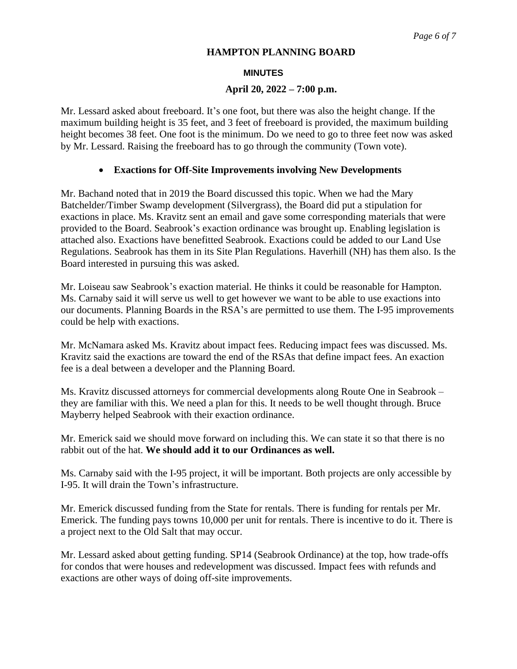### **MINUTES**

# **April 20, 2022 – 7:00 p.m.**

Mr. Lessard asked about freeboard. It's one foot, but there was also the height change. If the maximum building height is 35 feet, and 3 feet of freeboard is provided, the maximum building height becomes 38 feet. One foot is the minimum. Do we need to go to three feet now was asked by Mr. Lessard. Raising the freeboard has to go through the community (Town vote).

# • **Exactions for Off-Site Improvements involving New Developments**

Mr. Bachand noted that in 2019 the Board discussed this topic. When we had the Mary Batchelder/Timber Swamp development (Silvergrass), the Board did put a stipulation for exactions in place. Ms. Kravitz sent an email and gave some corresponding materials that were provided to the Board. Seabrook's exaction ordinance was brought up. Enabling legislation is attached also. Exactions have benefitted Seabrook. Exactions could be added to our Land Use Regulations. Seabrook has them in its Site Plan Regulations. Haverhill (NH) has them also. Is the Board interested in pursuing this was asked.

Mr. Loiseau saw Seabrook's exaction material. He thinks it could be reasonable for Hampton. Ms. Carnaby said it will serve us well to get however we want to be able to use exactions into our documents. Planning Boards in the RSA's are permitted to use them. The I-95 improvements could be help with exactions.

Mr. McNamara asked Ms. Kravitz about impact fees. Reducing impact fees was discussed. Ms. Kravitz said the exactions are toward the end of the RSAs that define impact fees. An exaction fee is a deal between a developer and the Planning Board.

Ms. Kravitz discussed attorneys for commercial developments along Route One in Seabrook – they are familiar with this. We need a plan for this. It needs to be well thought through. Bruce Mayberry helped Seabrook with their exaction ordinance.

Mr. Emerick said we should move forward on including this. We can state it so that there is no rabbit out of the hat. **We should add it to our Ordinances as well.** 

Ms. Carnaby said with the I-95 project, it will be important. Both projects are only accessible by I-95. It will drain the Town's infrastructure.

Mr. Emerick discussed funding from the State for rentals. There is funding for rentals per Mr. Emerick. The funding pays towns 10,000 per unit for rentals. There is incentive to do it. There is a project next to the Old Salt that may occur.

Mr. Lessard asked about getting funding. SP14 (Seabrook Ordinance) at the top, how trade-offs for condos that were houses and redevelopment was discussed. Impact fees with refunds and exactions are other ways of doing off-site improvements.